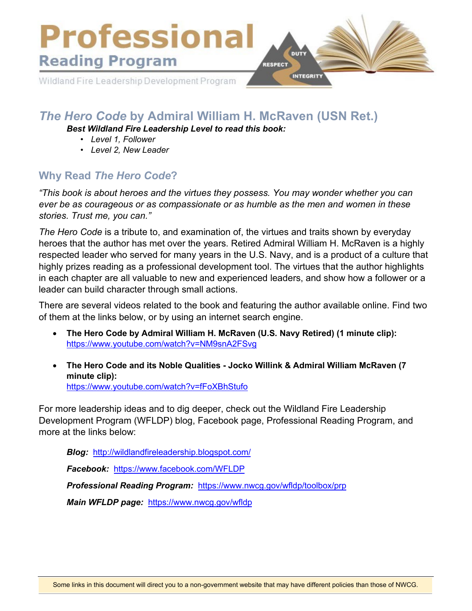

# *The Hero Code* **by Admiral William H. McRaven (USN Ret.)**

*Best Wildland Fire Leadership Level to read this book:* 

- *Level 1, Follower*
- *• Level 2, New Leader*

## **Why Read** *The Hero Code***?**

*"This book is about heroes and the virtues they possess. You may wonder whether you can ever be as courageous or as compassionate or as humble as the men and women in these stories. Trust me, you can."* 

*The Hero Code* is a tribute to, and examination of, the virtues and traits shown by everyday heroes that the author has met over the years. Retired Admiral William H. McRaven is a highly respected leader who served for many years in the U.S. Navy, and is a product of a culture that highly prizes reading as a professional development tool. The virtues that the author highlights in each chapter are all valuable to new and experienced leaders, and show how a follower or a leader can build character through small actions.

There are several videos related to the book and featuring the author available online. Find two of them at the links below, or by using an internet search engine.

- **The Hero Code by Admiral William H. McRaven (U.S. Navy Retired) (1 minute clip):** <https://www.youtube.com/watch?v=NM9snA2FSvg>
- **The Hero Code and its Noble Qualities Jocko Willink & Admiral William McRaven (7 minute clip):** <https://www.youtube.com/watch?v=fFoXBhStufo>

For more leadership ideas and to dig deeper, check out the Wildland Fire Leadership Development Program (WFLDP) blog, Facebook page, Professional Reading Program, and more at the links below:

*Blog:* <http://wildlandfireleadership.blogspot.com/>

*Facebook:* <https://www.facebook.com/WFLDP>

*Professional Reading Program:* <https://www.nwcg.gov/wfldp/toolbox/prp>

*Main WFLDP page:* <https://www.nwcg.gov/wfldp>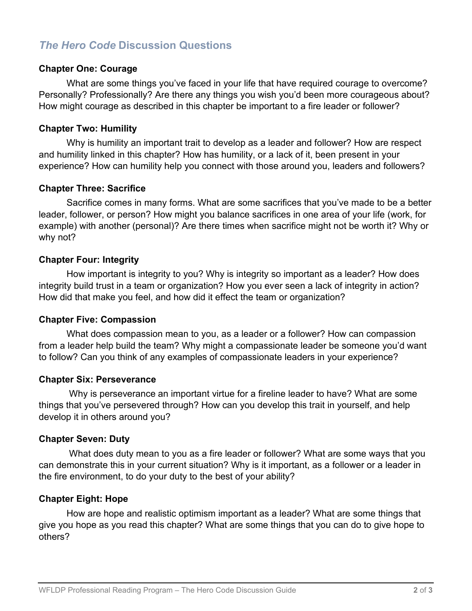## *The Hero Code* **Discussion Questions**

### **Chapter One: Courage**

What are some things you've faced in your life that have required courage to overcome? Personally? Professionally? Are there any things you wish you'd been more courageous about? How might courage as described in this chapter be important to a fire leader or follower?

## **Chapter Two: Humility**

Why is humility an important trait to develop as a leader and follower? How are respect and humility linked in this chapter? How has humility, or a lack of it, been present in your experience? How can humility help you connect with those around you, leaders and followers?

## **Chapter Three: Sacrifice**

Sacrifice comes in many forms. What are some sacrifices that you've made to be a better leader, follower, or person? How might you balance sacrifices in one area of your life (work, for example) with another (personal)? Are there times when sacrifice might not be worth it? Why or why not?

## **Chapter Four: Integrity**

How important is integrity to you? Why is integrity so important as a leader? How does integrity build trust in a team or organization? How you ever seen a lack of integrity in action? How did that make you feel, and how did it effect the team or organization?

#### **Chapter Five: Compassion**

What does compassion mean to you, as a leader or a follower? How can compassion from a leader help build the team? Why might a compassionate leader be someone you'd want to follow? Can you think of any examples of compassionate leaders in your experience?

#### **Chapter Six: Perseverance**

Why is perseverance an important virtue for a fireline leader to have? What are some things that you've persevered through? How can you develop this trait in yourself, and help develop it in others around you?

#### **Chapter Seven: Duty**

What does duty mean to you as a fire leader or follower? What are some ways that you can demonstrate this in your current situation? Why is it important, as a follower or a leader in the fire environment, to do your duty to the best of your ability?

## **Chapter Eight: Hope**

How are hope and realistic optimism important as a leader? What are some things that give you hope as you read this chapter? What are some things that you can do to give hope to others?